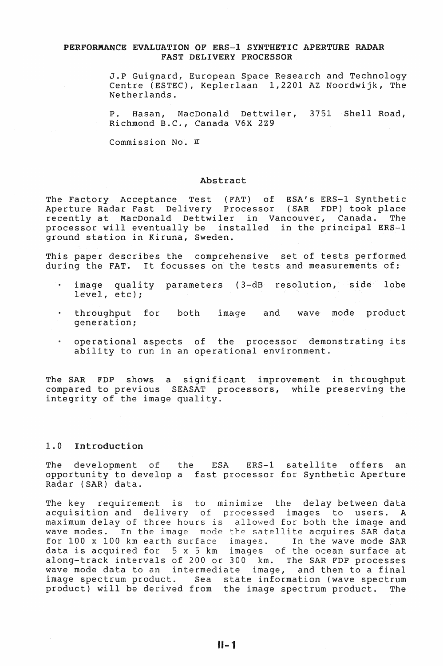# PERFORMANCE EVALUATION OF ERS-1 SYNTHETIC APERTURE RADAR FAST DELIVERY PROCESSOR

J.P Guignard, European Space Research and Technology Centre (ESTEC), Keplerlaan 1,2201 AZ Noordwijk, The Netherlands.

P. Hasan, MacDonald Dettwiler, 3751 Shell Road, Richmond B.C., Canada V6X 2Z9

Commission No.  $\pi$ 

#### Abstract

The Factory Acceptance Test (FAT) of ESA's ERS-1 Synthetic Aperture Radar Fast Delivery Processor (SAR FDP) took place recently at MacDonald Dettwiler in Vancouver, Canada. The processor will eventually be installed in the principal ERS-1 ground station in Kiruna, Sweden.

This paper describes the comprehensive set of tests performed during the FAT. It focusses on the tests and measurements of:

- image quality parameters (3-dB resolution, side lobe level, etc);
- throughput for generation; both image and wave mode product
- operational aspects of the processor demonstrating its ability to run in an operational environment.

The SAR FDP shows a significant improvement in throughput compared to previous SEASAT processors, while preserving the integrity of the image quality.

### 1.0 Introduction

The development of the ESA ERS-1 satellite offers an opportunity to develop a fast processor for Synthetic Aperture Radar (SAR) data.

The key requirement is to minimize the delay between data acquisition and delivery of processed images to users. A maximum delay of three hours is allowed for both the image and wave modes. In the image mode the satellite acquires SAR data for 100 x 100 km earth surface images. In the wave mode SAR data is acquired for 5 x 5 km images of the ocean surface at along-track intervals of 200 or 300 km. The SAR FDP processes wave mode data to an intermediate image, and then to a final image spectrum product. Sea state information (wave spectrum image spectrum product. Sea state information (wave spectrum<br>product) will be derived from the image spectrum product. The

11-1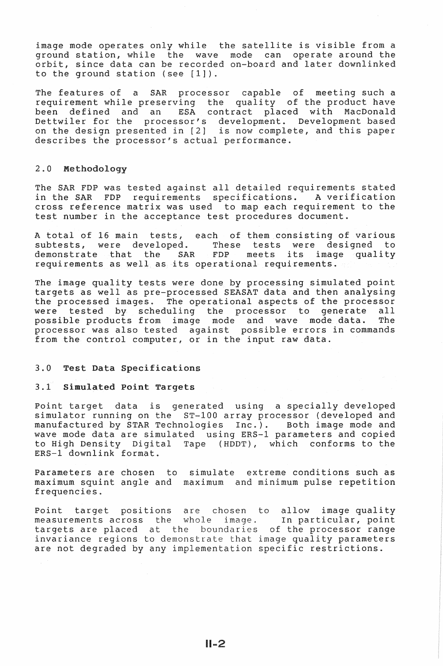image mode operates only while the satellite is visible from a ground station, while the wave ground seation, while the wave mode can operate dround the<br>orbit, since data can be recorded on-board and later downlinked to the ground station (see [1]). can operate around the

The features of a SAR processor capable of meeting such a requirement while preserving the quality of the product have<br>been defined and an ESA contract placed with MacDonald ESA contract placed with MacDonald Dettwiler for the processor's development. Development based on the design presented in  $[2]$  is now complete, and this paper describes the processor's actual performance.

# 2.0 Me

The SAR FDP was tested against all detailed requirements stated<br>in the SAR FDP requirements specifications. A verification specifications. A verification cross reference matrix was used to map each requirement to the test number in the acceptance test procedures document.

A total of 16 main tests, each of them consisting of various<br>subtests, were developed. These tests were designed to These tests were designed to<br>FDP meets its image quality demonstrate that the SAR requirements as well as its operational requirements.

The image quality tests were done by processing simulated point targets as well as pre-processed SEASAT data and then analysing the processed images. The operational aspects of the processor<br>were tested by scheduling the processor to generate all ene processed images. The operational dipencies of the processor possible products from image mode and wave mode data. The processor was also tested against possible errors in commands from the control computer, or in the input raw data.

#### $3.0$ Test Data Specifications

#### 3.1 Simulated Point Targets

Point target data is generated using a specially developed simulator running on the ST-100 array processor (developed and manufactured by STAR Technologies Inc.). Both image mode and wave mode data are simulated using ERS-1 parameters and copied to High Density Digital Tape (HDDT), which conforms to the ERS-1 downlink format.

Parameters are chosen to simulate extreme conditions such as maximum squint angle and maximum and minimum pulse repetition frequencies.

Point target positions are chosen to allow image quality measurements across the whole image. In particular, point targets are placed at the boundaries of the processor range invariance regions to demonstrate that image quality parameters are not degraded by any implementation specific restrictions.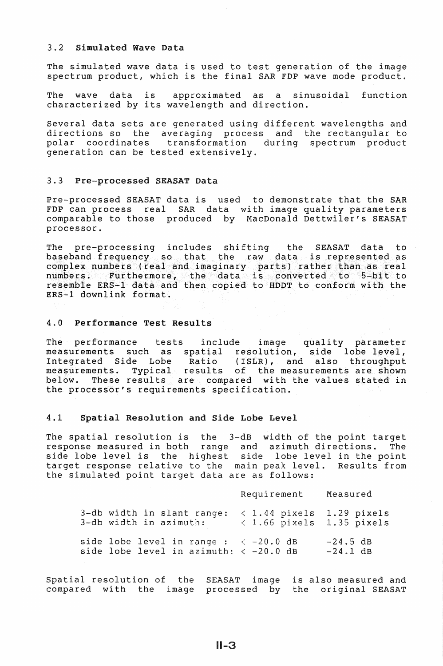# 3.2 Simulated Wave Data

The simulated wave data is used to test generation of the image spectrum product, which is the final SAR FOP wave mode product.

The wave data is approximated as a sinusoidal function characterized by its wavelength and direction.

Several data sets are generated using different wavelengths and directions so the averaging process and the rectangular to polar coordinates transformation during spectrum product generation can be tested extensively.

#### 3.3 Pre-processed SEASAT Data

Pre-processed SEASAT data is used to demonstrate that the SAR FOP can process real SAR data with image quality parameters comparable to those produced by MacDonald Dettwiler's SEASAT processor.

The pre-processing includes shifting the SEASAT data to baseband frequency so that the raw data is represented as complex numbers (real and imaginary parts) rather than as real numbers. Furthermore, the data is converted to 5-bit to resemble ERS-1 data and then copied to HDDT to conform with the ERS-1 downlink format.

# 4.0 Performance Test Results

The performance tests include image quality parameter measurements such as spatial resolution, side lobe level,<br>Integrated Side Lobe Ratio (ISLR), and also throughput (ISLR), and also throughput measurements. Typical results of the measurements are shown below. These results are compared with the values stated in the processor's requirements specification.

# 4.1 Spatial Resolution and Side Lobe Level

The spatial resolution is the 3-dB width of the point target response measured in both range and azimuth directions. The side lobe level is the highest side lobe level in the point target response relative to the main peak level. Results from the simulated point target data are as follows:

|                                                                                   | Requirement                                                            | Measured                 |
|-----------------------------------------------------------------------------------|------------------------------------------------------------------------|--------------------------|
| 3-db width in slant range:<br>3-db width in azimuth:                              | $\langle$ 1.44 pixels 1.29 pixels<br>$\langle$ 1.66 pixels 1.35 pixels |                          |
| side lobe level in range : $<-20.0$ dB<br>side lobe level in azimuth: $<-20.0$ dB |                                                                        | $-24.5$ dB<br>$-24.1$ dB |

Spatial resolution of the SEASAT image is also measured and compared with the image processed by the original SEASAT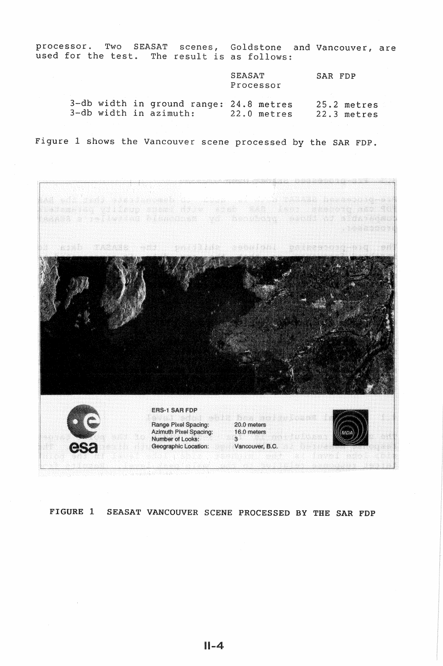processor. used for Two SEASAT test scenes, Goldstone result is as follows: Vancouver, are

> **SEASAT** Processor SAR FDP 25.2 metres

3-db width in ground range: 24.8 metres 3-db width in azimuth: 22.0 metres 22 3 metres

Figure 1 shows the Vancouver scene processed by the SAR FDP.



# FIGURE 1 SEASAT VANCOUVER SCENE PROCESSED BY THE SAR FOP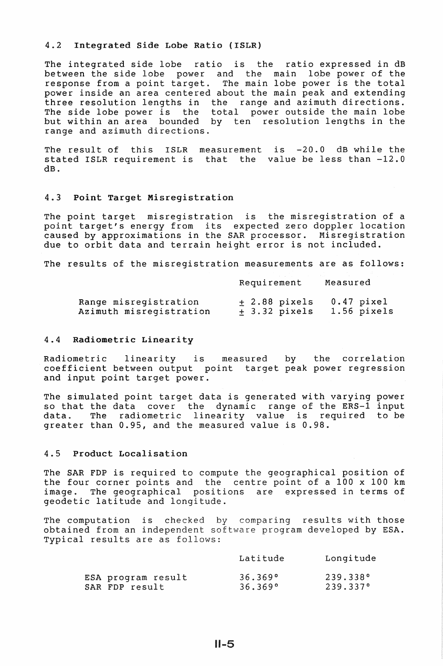#### 4.2 Integrated Side Lobe Ratio (ISLR)

The integrated side lobe ratio is the ratio expressed in dB between the side lobe power and the main ldbe power of the response from a point target. The main lobe power is the total power inside an area centered about the main peak and extending three resolution lengths in the range and azimuth directions. The side lobe power is the total power outside the main lobe but within an area bounded by ten resolution lengths in the range and azimuth directions.

The result of this ISLR measurement is -20.0 dB while the stated ISLR requirement is that the value be less than -12.0 dB.

#### 4.3 Point Target Misregistration

The point target misregistration is the misregistration of a point target's energy from its expected zero doppler location caused by approximations in the SAR processor. Misregistration due to orbit data and terrain height error is not included.

The results of the misregistration measurements are as follows:

|                         | Requirement    | Measured      |
|-------------------------|----------------|---------------|
| Range misregistration   | $+2.88$ pixels | $0.47$ pixel  |
| Azimuth misregistration | $+3.32$ pixels | $1.56$ pixels |

#### 4.4 Radiometric Linearity

Radiometric linearity is measured by the correlation coefficient between output point target peak power regression and input point target power.

The simulated point target data is generated with varying power so that the data cover the dynamic range of the ERS-1 input<br>data. The radiometric linearity value is required to be radiometric linearity value is required to be greater than 0.95, and the measured value is 0.98.

# 4.5 Product Localisation

The SAR FDP is required to compute the geographical position of the four corner points and the centre point of a 100 x 100 km image. The geographical positions are expressed in terms of geodetic latitude and longitude.

The computation is checked by comparing results with those obtained from an independent software program developed by ESA. Typical results are as follows:

|                    | Latitude | Longitude |
|--------------------|----------|-----------|
| ESA program result | 36.369°  | 239.338°  |
| SAR FDP result     | 36.369°  | 239.337°  |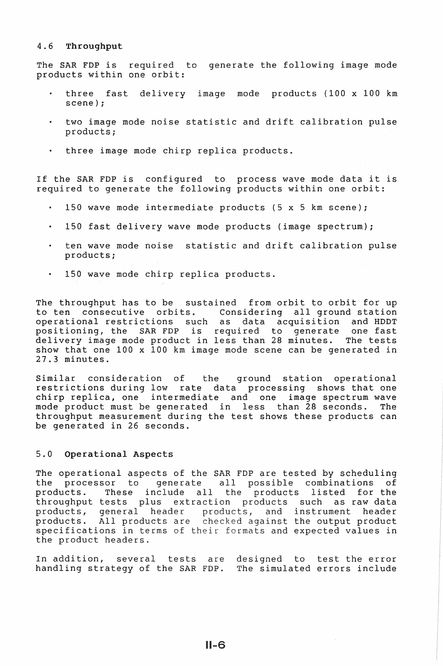#### 4.6 Throughput

The SAR FDP is required to generate the following image mode products within one orbit:

- three fast delivery image mode products (100 x 100 km scene);
- two image mode noise statistic and drift calibration pulse products;
- three image mode chirp replica products.

If the SAR FDP is configured to process wave mode data it is required to generate the following products within one orbit:

- 150 wave mode intermediate products (5 x 5 km scene);
- 150 fast delivery wave mode products (image spectrum);
- ten wave mode noise statistic and drift calibration pulse products;
- 150 wave mode chirp replica products.

The throughput has to be sustained from orbit to orbit for up<br>to ten consecutive orbits. Considering all ground station consecutive orbits. Considering all ground station<br>unal restrictions such as data acquisition and HDDT operational restrictions such as positioning, the SAR FDP is required to generate one fast delivery image mode product in less than 28 minutes. The tests show that one 100 x 100 km image mode scene can be generated in 27.3 minutes.

Similar consideration of the ground station operational restrictions during low rate data processing shows that one chirp replica, one intermediate and one image spectrum wave mode product must be generated in less than 28 seconds. throughput measurement during the test shows these products can be generated in 26 seconds.

#### 5.0 Operational Aspects

The operational aspects of the SAR FDP are tested by scheduling<br>the processor to generate all possible combinations of the processor to generate all possible combinations of<br>products. These include all the products listed for the These include all the products listed for the throughput tests plus extraction products such as raw data<br>products, general header products, and instrument header products, general header products, and instrument header<br>products. All products are checked against the output product All products are checked against the output product specifications in terms of their formats and expected values in the product headers.

In addition, several tests are designed to test the error handling strategy of the SAR FDP. The simulated errors include